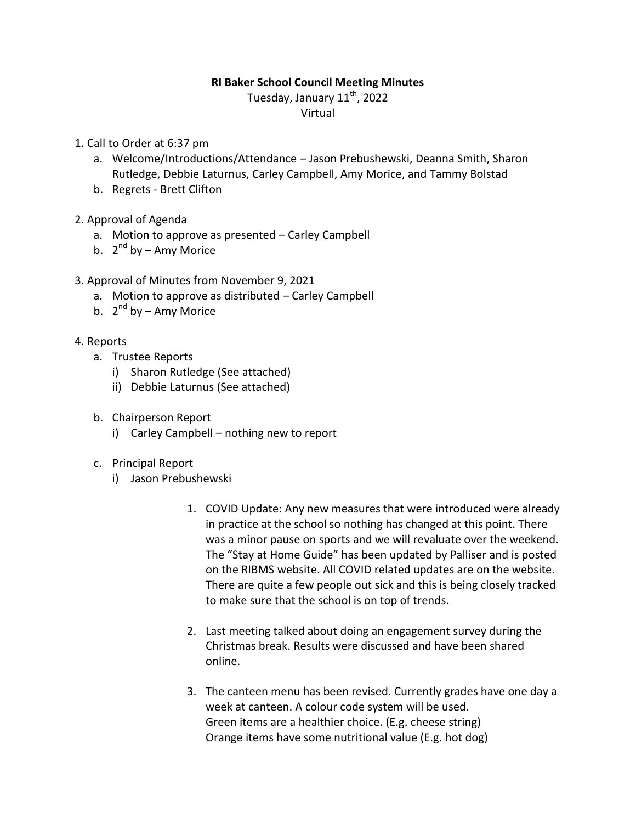#### **RI Baker School Council Meeting Minutes**

Tuesday, January 11<sup>th</sup>, 2022

Virtual

- 1. Call to Order at 6:37 pm
	- a. Welcome/Introductions/Attendance Jason Prebushewski, Deanna Smith, Sharon Rutledge, Debbie Laturnus, Carley Campbell, Amy Morice, and Tammy Bolstad
	- b. Regrets Brett Clifton
- 2. Approval of Agenda
	- a. Motion to approve as presented Carley Campbell
	- b. 2<sup>nd</sup> by Amy Morice
- 3. Approval of Minutes from November 9, 2021
	- a. Motion to approve as distributed Carley Campbell
	- b. 2<sup>nd</sup> by Amy Morice
- 4. Reports
	- a. Trustee Reports
		- i) Sharon Rutledge (See attached)
		- ii) Debbie Laturnus (See attached)
	- b. Chairperson Report
		- i) Carley Campbell nothing new to report
	- c. Principal Report
		- i) Jason Prebushewski
			- 1. COVID Update: Any new measures that were introduced were already in practice at the school so nothing has changed at this point. There was a minor pause on sports and we will revaluate over the weekend. The "Stay at Home Guide" has been updated by Palliser and is posted on the RIBMS website. All COVID related updates are on the website. There are quite a few people out sick and this is being closely tracked to make sure that the school is on top of trends.
			- 2. Last meeting talked about doing an engagement survey during the Christmas break. Results were discussed and have been shared online.
			- 3. The canteen menu has been revised. Currently grades have one day a week at canteen. A colour code system will be used. Green items are a healthier choice. (E.g. cheese string) Orange items have some nutritional value (E.g. hot dog)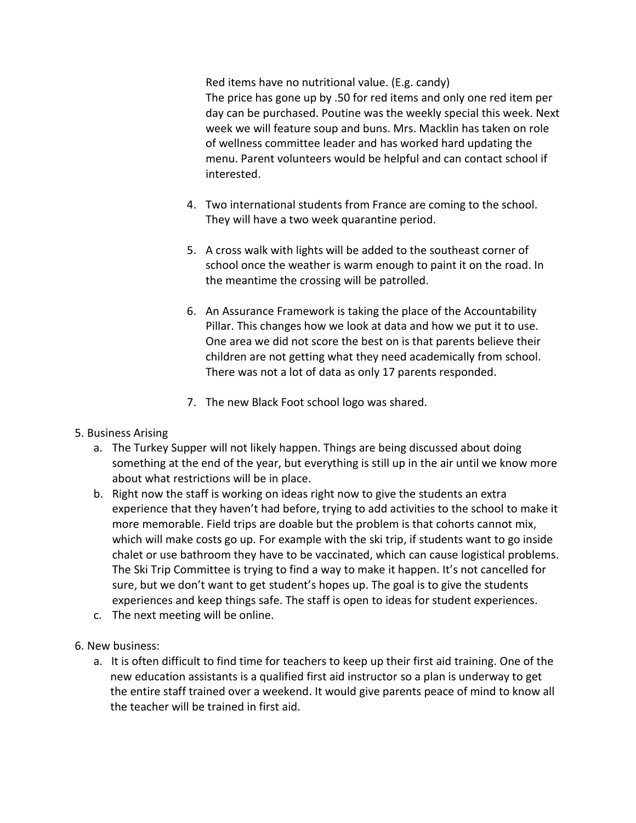Red items have no nutritional value. (E.g. candy) The price has gone up by .50 for red items and only one red item per day can be purchased. Poutine was the weekly special this week. Next week we will feature soup and buns. Mrs. Macklin has taken on role of wellness committee leader and has worked hard updating the menu. Parent volunteers would be helpful and can contact school if interested.

- 4. Two international students from France are coming to the school. They will have a two week quarantine period.
- 5. A cross walk with lights will be added to the southeast corner of school once the weather is warm enough to paint it on the road. In the meantime the crossing will be patrolled.
- 6. An Assurance Framework is taking the place of the Accountability Pillar. This changes how we look at data and how we put it to use. One area we did not score the best on is that parents believe their children are not getting what they need academically from school. There was not a lot of data as only 17 parents responded.
- 7. The new Black Foot school logo was shared.

# 5. Business Arising

- a. The Turkey Supper will not likely happen. Things are being discussed about doing something at the end of the year, but everything is still up in the air until we know more about what restrictions will be in place.
- b. Right now the staff is working on ideas right now to give the students an extra experience that they haven't had before, trying to add activities to the school to make it more memorable. Field trips are doable but the problem is that cohorts cannot mix, which will make costs go up. For example with the ski trip, if students want to go inside chalet or use bathroom they have to be vaccinated, which can cause logistical problems. The Ski Trip Committee is trying to find a way to make it happen. It's not cancelled for sure, but we don't want to get student's hopes up. The goal is to give the students experiences and keep things safe. The staff is open to ideas for student experiences.
- c. The next meeting will be online.
- 6. New business:
	- a. It is often difficult to find time for teachers to keep up their first aid training. One of the new education assistants is a qualified first aid instructor so a plan is underway to get the entire staff trained over a weekend. It would give parents peace of mind to know all the teacher will be trained in first aid.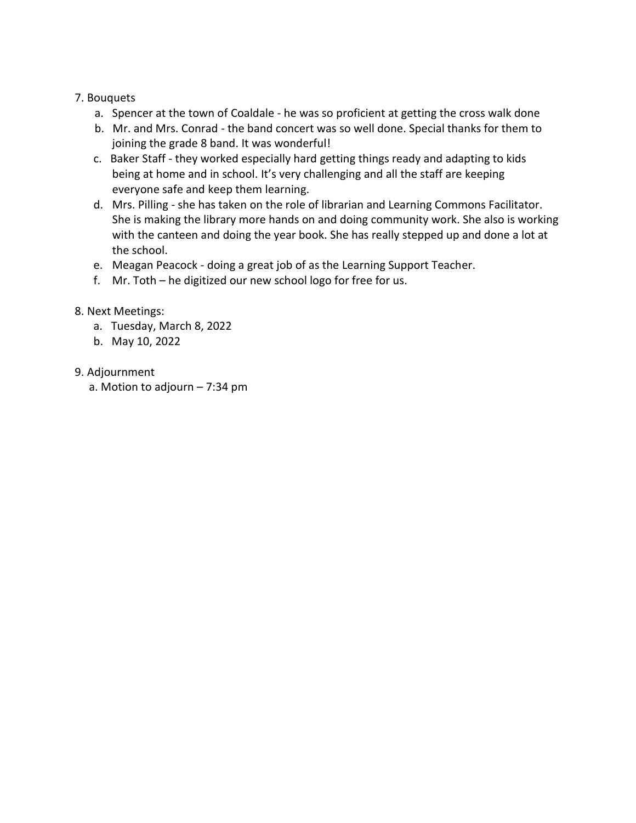### 7. Bouquets

- a. Spencer at the town of Coaldale he was so proficient at getting the cross walk done
- b. Mr. and Mrs. Conrad the band concert was so well done. Special thanks for them to joining the grade 8 band. It was wonderful!
- c. Baker Staff they worked especially hard getting things ready and adapting to kids being at home and in school. It's very challenging and all the staff are keeping everyone safe and keep them learning.
- d. Mrs. Pilling she has taken on the role of librarian and Learning Commons Facilitator. She is making the library more hands on and doing community work. She also is working with the canteen and doing the year book. She has really stepped up and done a lot at the school.
- e. Meagan Peacock doing a great job of as the Learning Support Teacher.
- f. Mr. Toth he digitized our new school logo for free for us.

# 8. Next Meetings:

- a. Tuesday, March 8, 2022
- b. May 10, 2022
- 9. Adjournment
	- a. Motion to adjourn 7:34 pm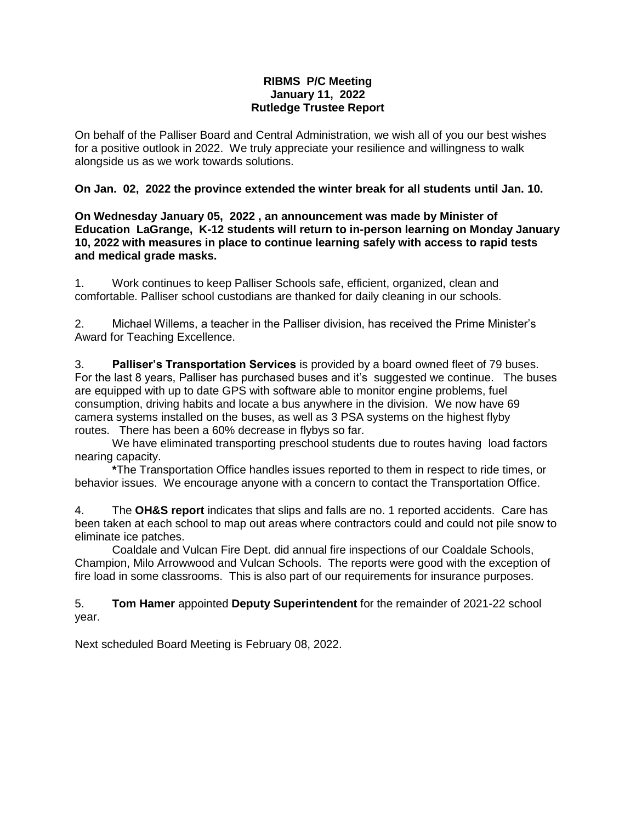#### **RIBMS P/C Meeting January 11, 2022 Rutledge Trustee Report**

On behalf of the Palliser Board and Central Administration, we wish all of you our best wishes for a positive outlook in 2022. We truly appreciate your resilience and willingness to walk alongside us as we work towards solutions.

#### **On Jan. 02, 2022 the province extended the winter break for all students until Jan. 10.**

**On Wednesday January 05, 2022 , an announcement was made by Minister of Education LaGrange, K-12 students will return to in-person learning on Monday January 10, 2022 with measures in place to continue learning safely with access to rapid tests and medical grade masks.**

1. Work continues to keep Palliser Schools safe, efficient, organized, clean and comfortable. Palliser school custodians are thanked for daily cleaning in our schools.

2. Michael Willems, a teacher in the Palliser division, has received the Prime Minister's Award for Teaching Excellence.

3. **Palliser's Transportation Services** is provided by a board owned fleet of 79 buses. For the last 8 years, Palliser has purchased buses and it's suggested we continue. The buses are equipped with up to date GPS with software able to monitor engine problems, fuel consumption, driving habits and locate a bus anywhere in the division. We now have 69 camera systems installed on the buses, as well as 3 PSA systems on the highest flyby routes. There has been a 60% decrease in flybys so far.

We have eliminated transporting preschool students due to routes having load factors nearing capacity.

**\***The Transportation Office handles issues reported to them in respect to ride times, or behavior issues. We encourage anyone with a concern to contact the Transportation Office.

4. The **OH&S report** indicates that slips and falls are no. 1 reported accidents. Care has been taken at each school to map out areas where contractors could and could not pile snow to eliminate ice patches.

Coaldale and Vulcan Fire Dept. did annual fire inspections of our Coaldale Schools, Champion, Milo Arrowwood and Vulcan Schools. The reports were good with the exception of fire load in some classrooms. This is also part of our requirements for insurance purposes.

5. **Tom Hamer** appointed **Deputy Superintendent** for the remainder of 2021-22 school year.

Next scheduled Board Meeting is February 08, 2022.